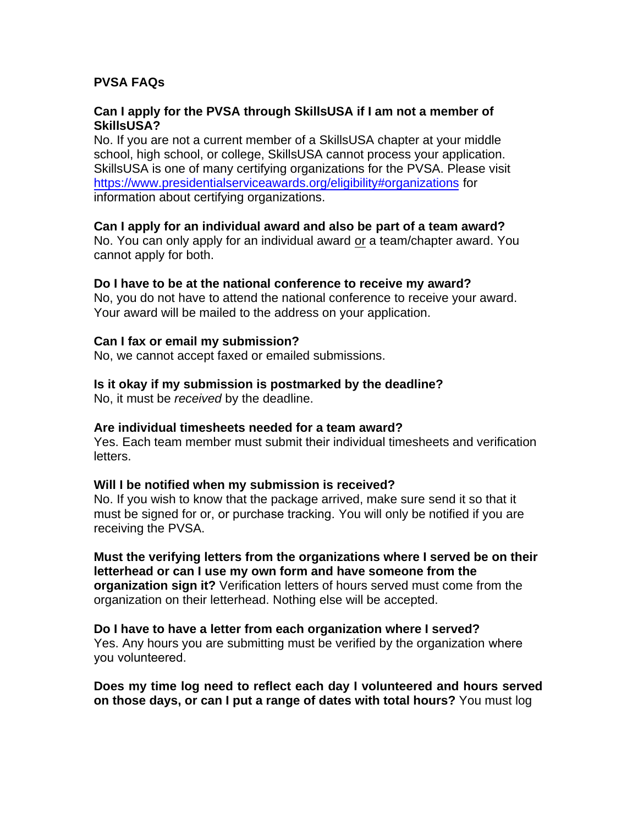## **PVSA FAQs**

## **Can I apply for the PVSA through SkillsUSA if I am not a member of SkillsUSA?**

No. If you are not a current member of a SkillsUSA chapter at your middle school, high school, or college, SkillsUSA cannot process your application. SkillsUSA is one of many certifying organizations for the PVSA. Please visit https://www.presidentialserviceawards.org/eligibility#organizations for [information about certifying organizations.](https://www.presidentialserviceawards.org/eligibility#organizations) 

## **Can I apply for an individual award and also be part of a team award?**

No. You can only apply for an individual award or a team/chapter award. You cannot apply for both.

#### **Do I have to be at the national conference to receive my award?**

No, you do not have to attend the national conference to receive your award. Your award will be mailed to the address on your application.

#### **Can I fax or email my submission?**

No, we cannot accept faxed or emailed submissions.

## **Is it okay if my submission is postmarked by the deadline?**

No, it must be *received* by the deadline.

#### **Are individual timesheets needed for a team award?**

Yes. Each team member must submit their individual timesheets and verification letters.

#### **Will I be notified when my submission is received?**

No. If you wish to know that the package arrived, make sure send it so that it must be signed for or, or purchase tracking. You will only be notified if you are receiving the PVSA.

**Must the verifying letters from the organizations where I served be on their letterhead or can I use my own form and have someone from the organization sign it?** Verification letters of hours served must come from the organization on their letterhead. Nothing else will be accepted.

# **Do I have to have a letter from each organization where I served?**

Yes. Any hours you are submitting must be verified by the organization where you volunteered.

**Does my time log need to reflect each day I volunteered and hours served on those days, or can I put a range of dates with total hours?** You must log